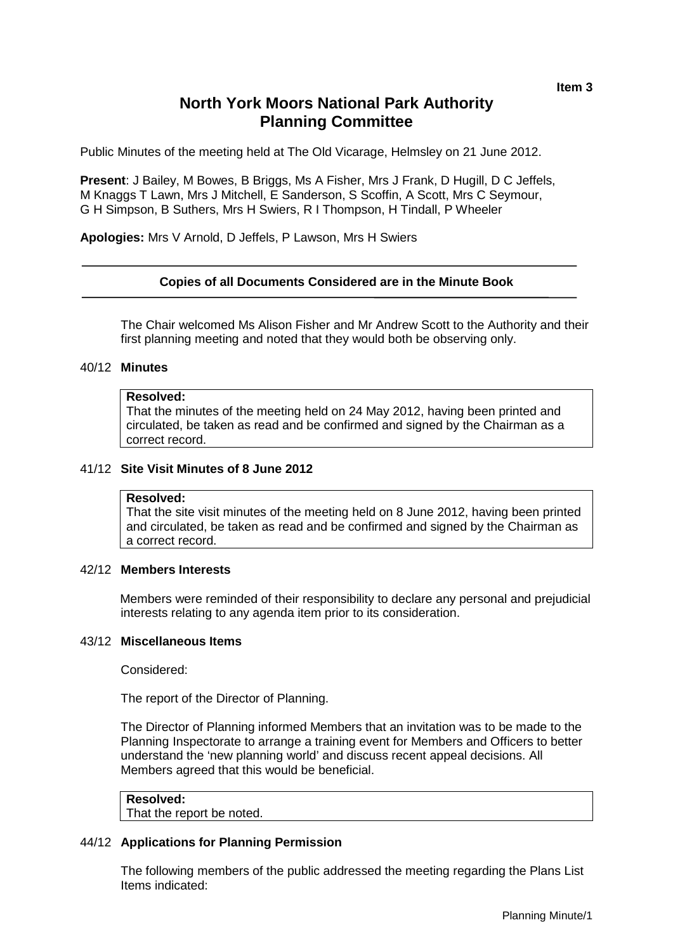# **North York Moors National Park Authority Planning Committee**

Public Minutes of the meeting held at The Old Vicarage, Helmsley on 21 June 2012.

**Present**: J Bailey, M Bowes, B Briggs, Ms A Fisher, Mrs J Frank, D Hugill, D C Jeffels, M Knaggs T Lawn, Mrs J Mitchell, E Sanderson, S Scoffin, A Scott, Mrs C Seymour, G H Simpson, B Suthers, Mrs H Swiers, R I Thompson, H Tindall, P Wheeler

**Apologies:** Mrs V Arnold, D Jeffels, P Lawson, Mrs H Swiers

## **Copies of all Documents Considered are in the Minute Book**

The Chair welcomed Ms Alison Fisher and Mr Andrew Scott to the Authority and their first planning meeting and noted that they would both be observing only.

# 40/12 **Minutes**

#### **Resolved:**

That the minutes of the meeting held on 24 May 2012, having been printed and circulated, be taken as read and be confirmed and signed by the Chairman as a correct record.

#### 41/12 **Site Visit Minutes of 8 June 2012**

#### **Resolved:**

That the site visit minutes of the meeting held on 8 June 2012, having been printed and circulated, be taken as read and be confirmed and signed by the Chairman as a correct record.

#### 42/12 **Members Interests**

Members were reminded of their responsibility to declare any personal and prejudicial interests relating to any agenda item prior to its consideration.

#### 43/12 **Miscellaneous Items**

Considered:

The report of the Director of Planning.

The Director of Planning informed Members that an invitation was to be made to the Planning Inspectorate to arrange a training event for Members and Officers to better understand the 'new planning world' and discuss recent appeal decisions. All Members agreed that this would be beneficial.

## **Resolved:**

That the report be noted.

## 44/12 **Applications for Planning Permission**

The following members of the public addressed the meeting regarding the Plans List Items indicated: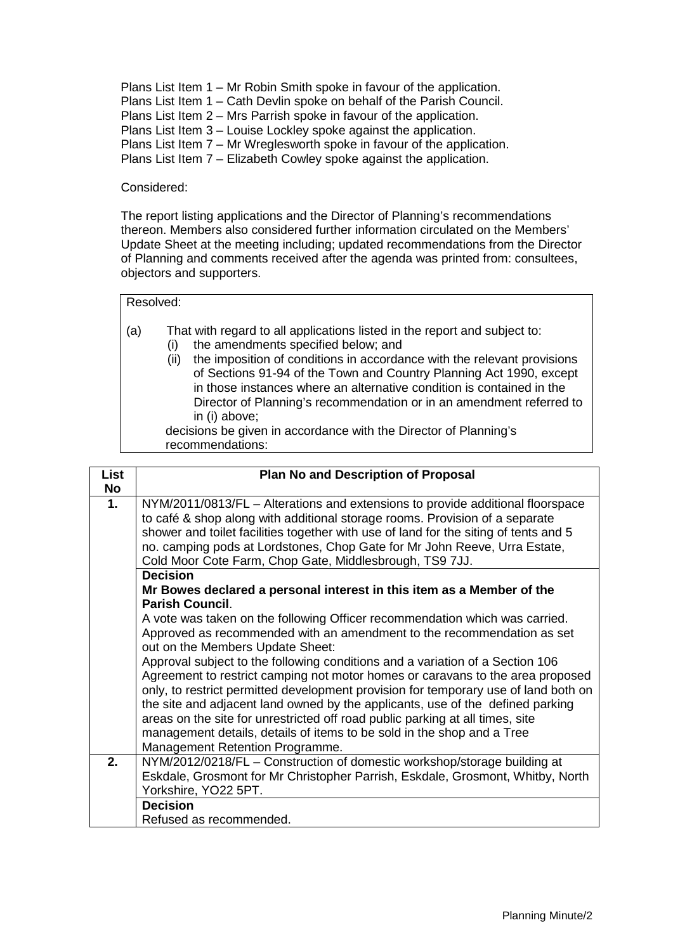Plans List Item 1 – Mr Robin Smith spoke in favour of the application. Plans List Item 1 – Cath Devlin spoke on behalf of the Parish Council. Plans List Item 2 – Mrs Parrish spoke in favour of the application. Plans List Item 3 – Louise Lockley spoke against the application. Plans List Item 7 – Mr Wreglesworth spoke in favour of the application. Plans List Item 7 – Elizabeth Cowley spoke against the application.

# Considered:

The report listing applications and the Director of Planning's recommendations thereon. Members also considered further information circulated on the Members' Update Sheet at the meeting including; updated recommendations from the Director of Planning and comments received after the agenda was printed from: consultees, objectors and supporters.

#### Resolved:

- (a) That with regard to all applications listed in the report and subject to:
	- (i) the amendments specified below; and
		- (ii) the imposition of conditions in accordance with the relevant provisions of Sections 91-94 of the Town and Country Planning Act 1990, except in those instances where an alternative condition is contained in the Director of Planning's recommendation or in an amendment referred to in (i) above;

decisions be given in accordance with the Director of Planning's recommendations:

| <b>List</b> | <b>Plan No and Description of Proposal</b>                                                                                                                                                                                                                                                                                                                                                                                                                                                                                             |  |  |  |  |  |
|-------------|----------------------------------------------------------------------------------------------------------------------------------------------------------------------------------------------------------------------------------------------------------------------------------------------------------------------------------------------------------------------------------------------------------------------------------------------------------------------------------------------------------------------------------------|--|--|--|--|--|
| <b>No</b>   |                                                                                                                                                                                                                                                                                                                                                                                                                                                                                                                                        |  |  |  |  |  |
| 1.          | NYM/2011/0813/FL – Alterations and extensions to provide additional floorspace<br>to café & shop along with additional storage rooms. Provision of a separate<br>shower and toilet facilities together with use of land for the siting of tents and 5<br>no. camping pods at Lordstones, Chop Gate for Mr John Reeve, Urra Estate,<br>Cold Moor Cote Farm, Chop Gate, Middlesbrough, TS9 7JJ.                                                                                                                                          |  |  |  |  |  |
|             | <b>Decision</b><br>Mr Bowes declared a personal interest in this item as a Member of the<br><b>Parish Council.</b>                                                                                                                                                                                                                                                                                                                                                                                                                     |  |  |  |  |  |
|             | A vote was taken on the following Officer recommendation which was carried.<br>Approved as recommended with an amendment to the recommendation as set<br>out on the Members Update Sheet:                                                                                                                                                                                                                                                                                                                                              |  |  |  |  |  |
|             | Approval subject to the following conditions and a variation of a Section 106<br>Agreement to restrict camping not motor homes or caravans to the area proposed<br>only, to restrict permitted development provision for temporary use of land both on<br>the site and adjacent land owned by the applicants, use of the defined parking<br>areas on the site for unrestricted off road public parking at all times, site<br>management details, details of items to be sold in the shop and a Tree<br>Management Retention Programme. |  |  |  |  |  |
| 2.          | NYM/2012/0218/FL - Construction of domestic workshop/storage building at<br>Eskdale, Grosmont for Mr Christopher Parrish, Eskdale, Grosmont, Whitby, North<br>Yorkshire, YO22 5PT.                                                                                                                                                                                                                                                                                                                                                     |  |  |  |  |  |
|             | <b>Decision</b><br>Refused as recommended.                                                                                                                                                                                                                                                                                                                                                                                                                                                                                             |  |  |  |  |  |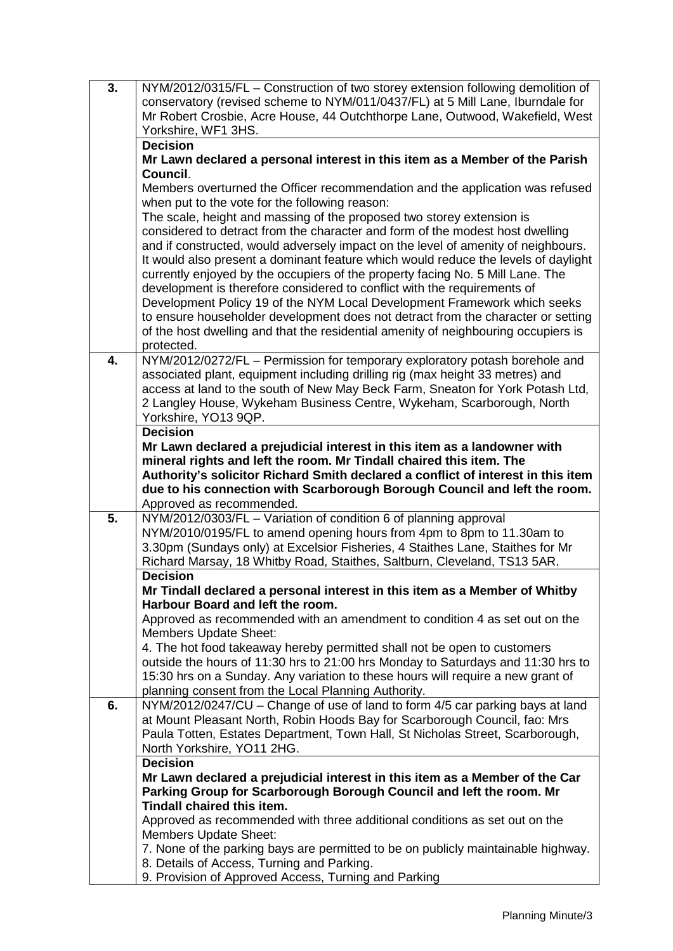| $\overline{3}$ .                               | NYM/2012/0315/FL - Construction of two storey extension following demolition of                                                                            |  |  |  |  |
|------------------------------------------------|------------------------------------------------------------------------------------------------------------------------------------------------------------|--|--|--|--|
|                                                | conservatory (revised scheme to NYM/011/0437/FL) at 5 Mill Lane, Iburndale for                                                                             |  |  |  |  |
|                                                | Mr Robert Crosbie, Acre House, 44 Outchthorpe Lane, Outwood, Wakefield, West                                                                               |  |  |  |  |
|                                                | Yorkshire, WF1 3HS.                                                                                                                                        |  |  |  |  |
|                                                | <b>Decision</b>                                                                                                                                            |  |  |  |  |
|                                                | Mr Lawn declared a personal interest in this item as a Member of the Parish                                                                                |  |  |  |  |
|                                                | Council.                                                                                                                                                   |  |  |  |  |
|                                                | Members overturned the Officer recommendation and the application was refused                                                                              |  |  |  |  |
| when put to the vote for the following reason: |                                                                                                                                                            |  |  |  |  |
|                                                | The scale, height and massing of the proposed two storey extension is                                                                                      |  |  |  |  |
|                                                | considered to detract from the character and form of the modest host dwelling                                                                              |  |  |  |  |
|                                                | and if constructed, would adversely impact on the level of amenity of neighbours.                                                                          |  |  |  |  |
|                                                | It would also present a dominant feature which would reduce the levels of daylight                                                                         |  |  |  |  |
|                                                |                                                                                                                                                            |  |  |  |  |
|                                                | currently enjoyed by the occupiers of the property facing No. 5 Mill Lane. The<br>development is therefore considered to conflict with the requirements of |  |  |  |  |
|                                                | Development Policy 19 of the NYM Local Development Framework which seeks                                                                                   |  |  |  |  |
|                                                | to ensure householder development does not detract from the character or setting                                                                           |  |  |  |  |
|                                                | of the host dwelling and that the residential amenity of neighbouring occupiers is                                                                         |  |  |  |  |
|                                                |                                                                                                                                                            |  |  |  |  |
| 4.                                             | protected.<br>NYM/2012/0272/FL - Permission for temporary exploratory potash borehole and                                                                  |  |  |  |  |
|                                                |                                                                                                                                                            |  |  |  |  |
|                                                | associated plant, equipment including drilling rig (max height 33 metres) and                                                                              |  |  |  |  |
|                                                | access at land to the south of New May Beck Farm, Sneaton for York Potash Ltd,                                                                             |  |  |  |  |
|                                                | 2 Langley House, Wykeham Business Centre, Wykeham, Scarborough, North                                                                                      |  |  |  |  |
|                                                | Yorkshire, YO13 9QP.                                                                                                                                       |  |  |  |  |
|                                                | <b>Decision</b>                                                                                                                                            |  |  |  |  |
|                                                | Mr Lawn declared a prejudicial interest in this item as a landowner with                                                                                   |  |  |  |  |
|                                                | mineral rights and left the room. Mr Tindall chaired this item. The                                                                                        |  |  |  |  |
|                                                | Authority's solicitor Richard Smith declared a conflict of interest in this item                                                                           |  |  |  |  |
|                                                |                                                                                                                                                            |  |  |  |  |
|                                                | due to his connection with Scarborough Borough Council and left the room.                                                                                  |  |  |  |  |
|                                                | Approved as recommended.                                                                                                                                   |  |  |  |  |
| 5.                                             | NYM/2012/0303/FL - Variation of condition 6 of planning approval                                                                                           |  |  |  |  |
|                                                | NYM/2010/0195/FL to amend opening hours from 4pm to 8pm to 11.30am to                                                                                      |  |  |  |  |
|                                                | 3.30pm (Sundays only) at Excelsior Fisheries, 4 Staithes Lane, Staithes for Mr                                                                             |  |  |  |  |
|                                                | Richard Marsay, 18 Whitby Road, Staithes, Saltburn, Cleveland, TS13 5AR.                                                                                   |  |  |  |  |
|                                                | <b>Decision</b>                                                                                                                                            |  |  |  |  |
|                                                | Mr Tindall declared a personal interest in this item as a Member of Whitby                                                                                 |  |  |  |  |
|                                                | Harbour Board and left the room.                                                                                                                           |  |  |  |  |
|                                                | Approved as recommended with an amendment to condition 4 as set out on the                                                                                 |  |  |  |  |
|                                                | <b>Members Update Sheet:</b>                                                                                                                               |  |  |  |  |
|                                                | 4. The hot food takeaway hereby permitted shall not be open to customers                                                                                   |  |  |  |  |
|                                                | outside the hours of 11:30 hrs to 21:00 hrs Monday to Saturdays and 11:30 hrs to                                                                           |  |  |  |  |
|                                                | 15:30 hrs on a Sunday. Any variation to these hours will require a new grant of                                                                            |  |  |  |  |
|                                                | planning consent from the Local Planning Authority.                                                                                                        |  |  |  |  |
| 6.                                             | NYM/2012/0247/CU - Change of use of land to form 4/5 car parking bays at land                                                                              |  |  |  |  |
|                                                | at Mount Pleasant North, Robin Hoods Bay for Scarborough Council, fao: Mrs                                                                                 |  |  |  |  |
|                                                | Paula Totten, Estates Department, Town Hall, St Nicholas Street, Scarborough,                                                                              |  |  |  |  |
|                                                | North Yorkshire, YO11 2HG.                                                                                                                                 |  |  |  |  |
|                                                | <b>Decision</b>                                                                                                                                            |  |  |  |  |
|                                                | Mr Lawn declared a prejudicial interest in this item as a Member of the Car                                                                                |  |  |  |  |
|                                                | Parking Group for Scarborough Borough Council and left the room. Mr                                                                                        |  |  |  |  |
|                                                | <b>Tindall chaired this item.</b>                                                                                                                          |  |  |  |  |
|                                                | Approved as recommended with three additional conditions as set out on the                                                                                 |  |  |  |  |
|                                                | <b>Members Update Sheet:</b>                                                                                                                               |  |  |  |  |
|                                                | 7. None of the parking bays are permitted to be on publicly maintainable highway.                                                                          |  |  |  |  |
|                                                | 8. Details of Access, Turning and Parking.<br>9. Provision of Approved Access, Turning and Parking                                                         |  |  |  |  |